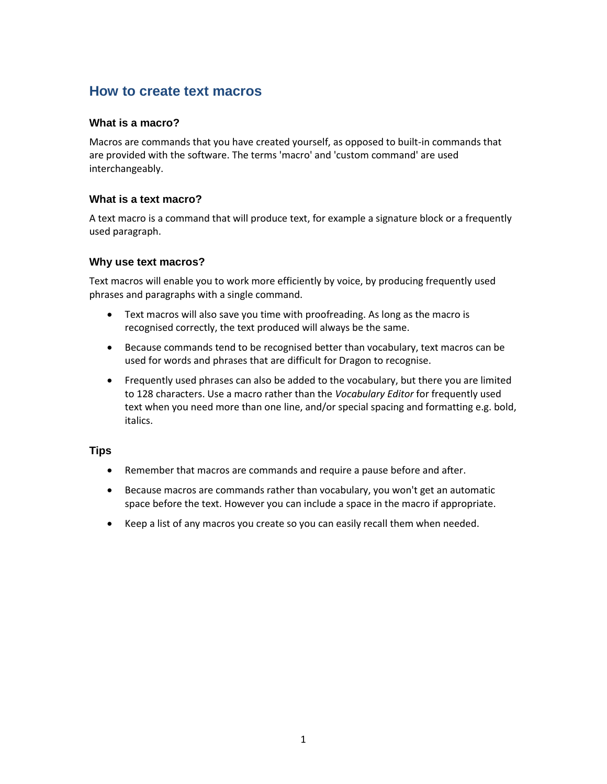# **How to create text macros**

# **What is a macro?**

Macros are commands that you have created yourself, as opposed to built-in commands that are provided with the software. The terms 'macro' and 'custom command' are used interchangeably.

# **What is a text macro?**

A text macro is a command that will produce text, for example a signature block or a frequently used paragraph.

#### **Why use text macros?**

Text macros will enable you to work more efficiently by voice, by producing frequently used phrases and paragraphs with a single command.

- Text macros will also save you time with proofreading. As long as the macro is recognised correctly, the text produced will always be the same.
- Because commands tend to be recognised better than vocabulary, text macros can be used for words and phrases that are difficult for Dragon to recognise.
- Frequently used phrases can also be added to the vocabulary, but there you are limited to 128 characters. Use a macro rather than the *Vocabulary Editor* for frequently used text when you need more than one line, and/or special spacing and formatting e.g. bold, italics.

#### **Tips**

- Remember that macros are commands and require a pause before and after.
- Because macros are commands rather than vocabulary, you won't get an automatic space before the text. However you can include a space in the macro if appropriate.
- Keep a list of any macros you create so you can easily recall them when needed.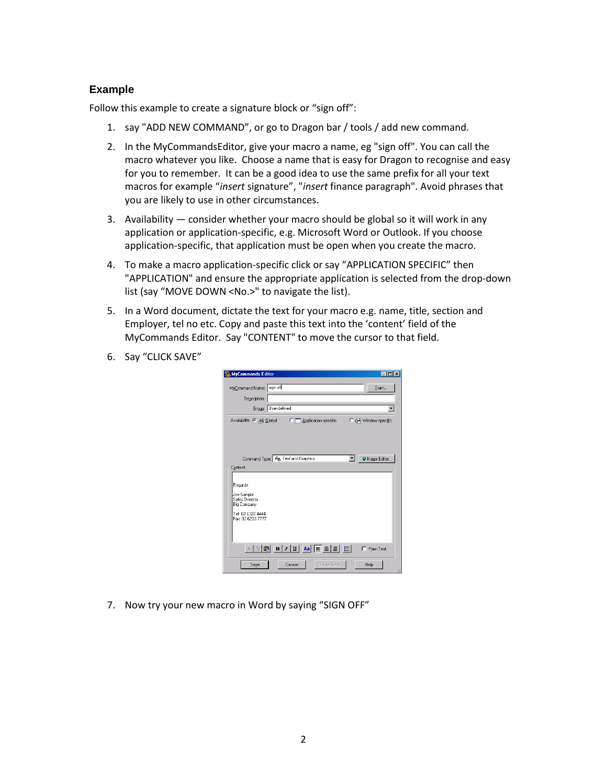# **Example**

Follow this example to create a signature block or "sign off":

- 1. say "ADD NEW COMMAND", or go to Dragon bar / tools / add new command.
- 2. In the MyCommandsEditor, give your macro a name, eg "sign off". You can call the macro whatever you like. Choose a name that is easy for Dragon to recognise and easy for you to remember. It can be a good idea to use the same prefix for all your text macros for example "*insert* signature", "*insert* finance paragraph". Avoid phrases that you are likely to use in other circumstances.
- 3. Availability consider whether your macro should be global so it will work in any application or application-specific, e.g. Microsoft Word or Outlook. If you choose application-specific, that application must be open when you create the macro.
- 4. To make a macro application-specific click or say "APPLICATION SPECIFIC" then "APPLICATION" and ensure the appropriate application is selected from the drop-down list (say "MOVE DOWN <No.>" to navigate the list).
- 5. In a Word document, dictate the text for your macro e.g. name, title, section and Employer, tel no etc. Copy and paste this text into the 'content' field of the MyCommands Editor. Say "CONTENT" to move the cursor to that field.
- 6. Say "CLICK SAVE"

| MyCommands Editor                                                                                                                                                     |                               |                                |
|-----------------------------------------------------------------------------------------------------------------------------------------------------------------------|-------------------------------|--------------------------------|
| MyCommand Name: sign off<br>Description:<br>Group: User-defined                                                                                                       |                               | Train                          |
|                                                                                                                                                                       | <b>C</b> Application-specific | C 户 Window-specific            |
| Command Type: 4 <sub>b</sub> Text and Graphics<br>Content:<br>Regards<br>Joe Sample<br>Sales Director<br><b>Big Company</b><br>Tel: 02 6322 4444<br>Fax: 02 6233 7777 |                               | V Name Editor                  |
| Ж.<br>Cancel<br>Save                                                                                                                                                  | Create New                    | Plain Text<br><b>Help</b><br>n |

7. Now try your new macro in Word by saying "SIGN OFF"